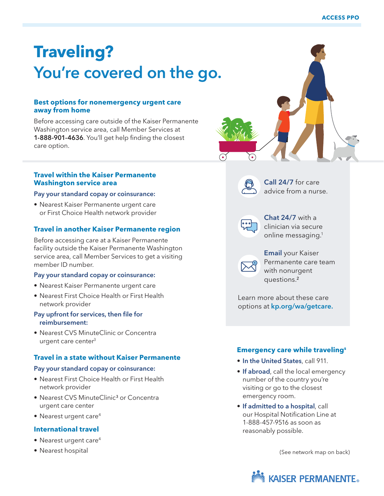# **Traveling?** You're covered on the go.

# **Best options for nonemergency urgent care away from home**

Before accessing care outside of the Kaiser Permanente Washington service area, call Member Services at 1-888-901-4636. You'll get help finding the closest care option.

# **Travel within the Kaiser Permanente Washington service area**

#### Pay your standard copay or coinsurance:

• Nearest Kaiser Permanente urgent care or First Choice Health network provider

#### **Travel in another Kaiser Permanente region**

Before accessing care at a Kaiser Permanente facility outside the Kaiser Permanente Washington service area, call Member Services to get a visiting member ID number.

#### Pay your standard copay or coinsurance:

- Nearest Kaiser Permanente urgent care
- Nearest First Choice Health or First Health network provider

#### Pay upfront for services, then file for reimbursement:

• Nearest CVS MinuteClinic or Concentra urgent care center<sup>3</sup>

#### **Travel in a state without Kaiser Permanente**

#### Pay your standard copay or coinsurance:

- Nearest First Choice Health or First Health network provider
- Nearest CVS MinuteClinic<sup>3</sup> or Concentra urgent care center
- Nearest urgent care<sup>4</sup>

#### **International travel**

- Nearest urgent care<sup>4</sup>
- Nearest hospital

# Call 24/7 for care advice from a nurse.



Chat 24/7 with a clinician via secure online messaging.1



**Email** your Kaiser Permanente care team with nonurgent questions.²

Learn more about these care options at kp.org/wa/getcare.

# **Emergency care while traveling5**

- In the United States, call 911.
- If abroad, call the local emergency number of the country you're visiting or go to the closest emergency room.
- If admitted to a hospital, call our Hospital Notification Line at 1-888-457-9516 as soon as reasonably possible.

(See network map on back)